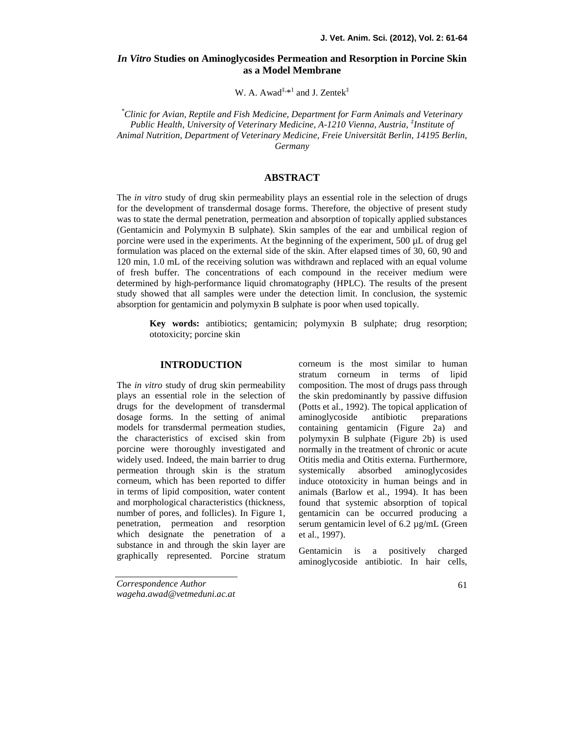# *In Vitro* **Studies on Aminoglycosides Permeation and Resorption in Porcine Skin as a Model Membrane**

W. A. Awad<sup>‡,\*1</sup> and J. Zentek<sup>‡</sup>

*\*Clinic for Avian, Reptile and Fish Medicine, Department for Farm Animals and Veterinary Public Health, University of Veterinary Medicine, A-1210 Vienna, Austria, ‡Institute of Animal Nutrition, Department of Veterinary Medicine, Freie Universität Berlin, 14195 Berlin, Germany*

# **ABSTRACT**

The *in vitro* study of drug skin permeability plays an essential role in the selection of drugs for the development of transdermal dosage forms. Therefore, the objective of present study was to state the dermal penetration, permeation and absorption of topically applied substances (Gentamicin and Polymyxin B sulphate). Skin samples of the ear and umbilical region of porcine were used in the experiments. At the beginning of the experiment,  $500 \mu L$  of drug gel formulation was placed on the external side of the skin. After elapsed times of 30, 60, 90 and 120 min, 1.0 mL of the receiving solution was withdrawn and replaced with an equal volume of fresh buffer. The concentrations of each compound in the receiver medium were determined by high-performance liquid chromatography (HPLC). The results of the present study showed that all samples were under the detection limit. In conclusion, the systemic absorption for gentamicin and polymyxin B sulphate is poor when used topically.

**Key words:** antibiotics; gentamicin; polymyxin B sulphate; drug resorption; ototoxicity; porcine skin

## **INTRODUCTION**

The *in vitro* study of drug skin permeability plays an essential role in the selection of drugs for the development of transdermal dosage forms. In the setting of animal models for transdermal permeation studies, the characteristics of excised skin from porcine were thoroughly investigated and widely used. Indeed, the main barrier to drug permeation through skin is the stratum corneum, which has been reported to differ in terms of lipid composition, water content and morphological characteristics (thickness, number of pores, and follicles). In Figure 1, penetration, permeation and resorption which designate the penetration of a substance in and through the skin layer are<br>exampled the property of the dentury dentanticin graphically represented. Porcine stratum

corneum is the most similar to human stratum corneum in terms of lipid composition. The most of drugs pass through the skin predominantly by passive diffusion (Potts et al., 1992). The topical application of aminoglycoside antibiotic preparations containing gentamicin (Figure 2a) and polymyxin B sulphate (Figure 2b) is used normally in the treatment of chronic or acute Otitis media and Otitis externa. Furthermore, absorbed aminoglycosides induce ototoxicity in human beings and in animals (Barlow et al., 1994). It has been found that systemic absorption of topical gentamicin can be occurred producing a serum gentamicin level of 6.2 µg/mL (Green et al., 1997).

is a positively charged aminoglycoside antibiotic. In hair cells,

*Correspondence Author wageha.awad@vetmeduni.ac.at*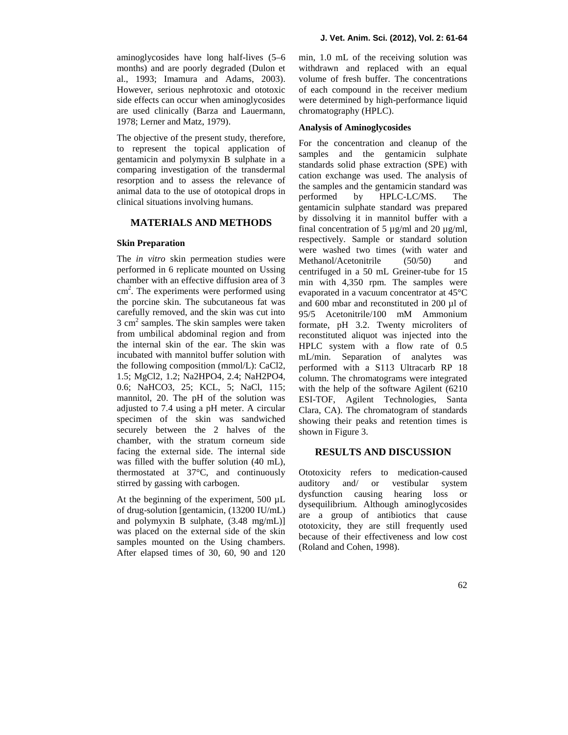aminoglycosides have long half-lives (5–6 months) and are poorly degraded (Dulon et al., 1993; Imamura and Adams, 2003). However, serious nephrotoxic and ototoxic side effects can occur when aminoglycosides are used clinically (Barza and Lauermann, 1978; Lerner and Matz, 1979).

The objective of the present study, therefore, to represent the topical application of gentamicin and polymyxin B sulphate in a comparing investigation of the transdermal resorption and to assess the relevance of animal data to the use of ototopical drops in the sample clinical situations involving humans.

#### **MATERIALS AND METHODS**

#### **Skin Preparation**

The *in vitro* skin permeation studies were performed in 6 replicate mounted on Ussing chamber with an effective diffusion area of 3  $\text{cm}^2$ . The experiments were performed using  $\text{evapor}$ the porcine skin. The subcutaneous fat was carefully removed, and the skin was cut into  $3 \text{ cm}^2$  samples. The skin samples were taken from umbilical abdominal region and from the internal skin of the ear. The skin was incubated with mannitol buffer solution with the following composition (mmol/L): CaCl2, 1.5; MgCl2, 1.2; Na2HPO4, 2.4; NaH2PO4, 0.6; NaHCO3, 25; KCL, 5; NaCl, 115; mannitol, 20. The pH of the solution was adjusted to 7.4 using a pH meter. A circular specimen of the skin was sandwiched securely between the 2 halves of the chamber, with the stratum corneum side facing the external side. The internal side was filled with the buffer solution (40 mL), thermostated at 37°C, and continuously stirred by gassing with carbogen.

At the beginning of the experiment, 500 µL of drug-solution [gentamicin, (13200 IU/mL) and polymyxin B sulphate, (3.48 mg/mL)] was placed on the external side of the skin samples mounted on the Using chambers. After elapsed times of 30, 60, 90 and 120

min, 1.0 mL of the receiving solution was withdrawn and replaced with an equal volume of fresh buffer. The concentrations of each compound in the receiver medium were determined by high-performance liquid chromatography (HPLC).

# **Analysis of Aminoglycosides**

For the concentration and cleanup of the samples and the gentamicin sulphate standards solid phase extraction (SPE) with cation exchange was used. The analysis of the samples and the gentamicin standard was by HPLC-LC/MS. The gentamicin sulphate standard was prepared by dissolving it in mannitol buffer with a final concentration of 5  $\mu$ g/ml and 20  $\mu$ g/ml, respectively. Sample or standard solution were washed two times (with water and Methanol/Acetonitrile (50/50) and centrifuged in a 50 mL Greiner-tube for 15 min with 4,350 rpm. The samples were evaporated in a vacuum concentrator at 45°C and 600 mbar and reconstituted in 200 µl of 95/5 Acetonitrile/100 mM Ammonium formate, pH 3.2. Twenty microliters of reconstituted aliquot was injected into the HPLC system with a flow rate of 0.5 mL/min. Separation of analytes was performed with a S113 Ultracarb RP 18 column. The chromatograms were integrated with the help of the software Agilent (6210 ESI-TOF, Agilent Technologies, Santa Clara, CA). The chromatogram of standards showing their peaks and retention times is shown in Figure 3.

### **RESULTS AND DISCUSSION**

Ototoxicity refers to medication-caused auditory and/ or vestibular system dysfunction causing hearing loss or dysequilibrium. Although aminoglycosides are a group of antibiotics that cause ototoxicity, they are still frequently used because of their effectiveness and low cost (Roland and Cohen, 1998).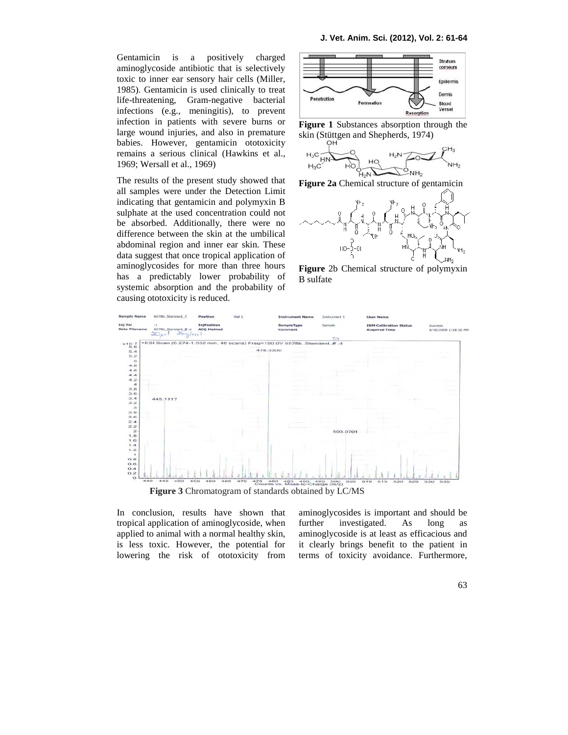Gentamicin is a positively charged aminoglycoside antibiotic that is selectively toxic to inner ear sensory hair cells (Miller, 1985). Gentamicin is used clinically to treat life-threatening, Gram-negative bacterial infections (e.g., meningitis), to prevent infection in patients with severe burns or large wound injuries, and also in premature babies. However, gentamicin ototoxicity remains a serious clinical (Hawkins et al., 1969; Wersall et al., 1969)

The results of the present study showed that all samples were under the Detection Limit indicating that gentamicin and polymyxin B sulphate at the used concentration could not be absorbed. Additionally, there were no difference between the skin at the umbilical abdominal region and inner ear skin. These data suggest that once tropical application of aminoglycosides for more than three hours has a predictably lower probability of systemic absorption and the probability of causing ototoxicity is reduced.



**Figure 1** Substances absorption through the skin (Stüttgen and Shepherds, 1974)







**Figure** 2b Chemical structure of polymyxin B sulfate



In conclusion, results have shown that tropical application of aminoglycoside, when applied to animal with a normal healthy skin, is less toxic. However, the potential for lowering the risk of ototoxicity from

aminoglycosides is important and should be investigated. As long as aminoglycoside is at least as efficacious and it clearly brings benefit to the patient in terms of toxicity avoidance. Furthermore,